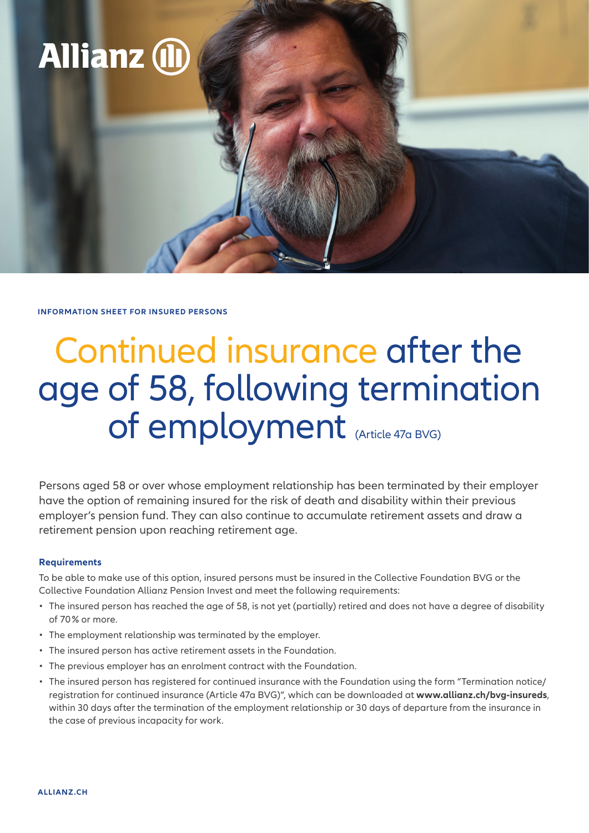

**INFORMATION SHEET FOR INSURED PERSONS**

## Continued insurance after the age of 58, following termination of employment (Article 47a BVG)

Persons aged 58 or over whose employment relationship has been terminated by their employer have the option of remaining insured for the risk of death and disability within their previous employer's pension fund. They can also continue to accumulate retirement assets and draw a retirement pension upon reaching retirement age.

## **Requirements**

To be able to make use of this option, insured persons must be insured in the Collective Foundation BVG or the Collective Foundation Allianz Pension Invest and meet the following requirements:

- The insured person has reached the age of 58, is not yet (partially) retired and does not have a degree of disability of 70 % or more.
- The employment relationship was terminated by the employer.
- The insured person has active retirement assets in the Foundation.
- The previous employer has an enrolment contract with the Foundation.
- The insured person has registered for continued insurance with the Foundation using the form "Termination notice/ registration for continued insurance (Article 47a BVG)", which can be downloaded at **www.allianz.ch/bvg-insureds**, within 30 days after the termination of the employment relationship or 30 days of departure from the insurance in the case of previous incapacity for work.